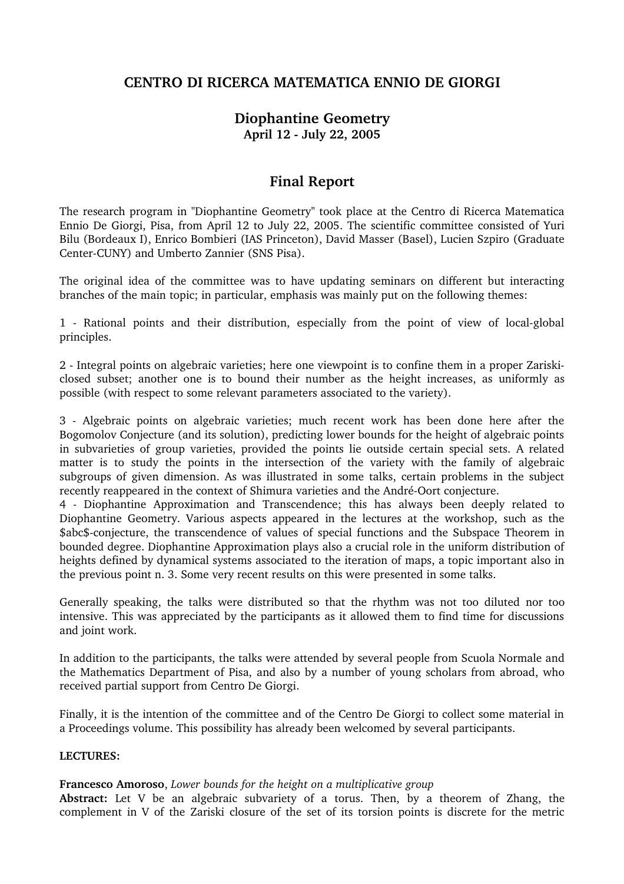# **CENTRO DI RICERCA MATEMATICA ENNIO DE GIORGI**

# **Diophantine Geometry April 12 July 22, 2005**

# **Final Report**

The research program in "Diophantine Geometry" took place at the Centro di Ricerca Matematica Ennio De Giorgi, Pisa, from April 12 to July 22, 2005. The scientific committee consisted of Yuri Bilu (Bordeaux I), Enrico Bombieri (IAS Princeton), David Masser (Basel), Lucien Szpiro (Graduate Center-CUNY) and Umberto Zannier (SNS Pisa).

The original idea of the committee was to have updating seminars on different but interacting branches of the main topic; in particular, emphasis was mainly put on the following themes:

1 Rational points and their distribution, especially from the point of view of localglobal principles.

2 Integral points on algebraic varieties; here one viewpoint is to confine them in a proper Zariskiclosed subset; another one is to bound their number as the height increases, as uniformly as possible (with respect to some relevant parameters associated to the variety).

3 Algebraic points on algebraic varieties; much recent work has been done here after the Bogomolov Conjecture (and its solution), predicting lower bounds for the height of algebraic points in subvarieties of group varieties, provided the points lie outside certain special sets. A related matter is to study the points in the intersection of the variety with the family of algebraic subgroups of given dimension. As was illustrated in some talks, certain problems in the subject recently reappeared in the context of Shimura varieties and the André-Oort conjecture.

4 Diophantine Approximation and Transcendence; this has always been deeply related to Diophantine Geometry. Various aspects appeared in the lectures at the workshop, such as the \$abc\$-conjecture, the transcendence of values of special functions and the Subspace Theorem in bounded degree. Diophantine Approximation plays also a crucial role in the uniform distribution of heights defined by dynamical systems associated to the iteration of maps, a topic important also in the previous point n. 3. Some very recent results on this were presented in some talks.

Generally speaking, the talks were distributed so that the rhythm was not too diluted nor too intensive. This was appreciated by the participants as it allowed them to find time for discussions and joint work.

In addition to the participants, the talks were attended by several people from Scuola Normale and the Mathematics Department of Pisa, and also by a number of young scholars from abroad, who received partial support from Centro De Giorgi.

Finally, it is the intention of the committee and of the Centro De Giorgi to collect some material in a Proceedings volume. This possibility has already been welcomed by several participants.

#### **LECTURES:**

#### **Francesco Amoroso**, *Lower bounds for the height on a multiplicative group*

**Abstract:** Let V be an algebraic subvariety of a torus. Then, by a theorem of Zhang, the complement in V of the Zariski closure of the set of its torsion points is discrete for the metric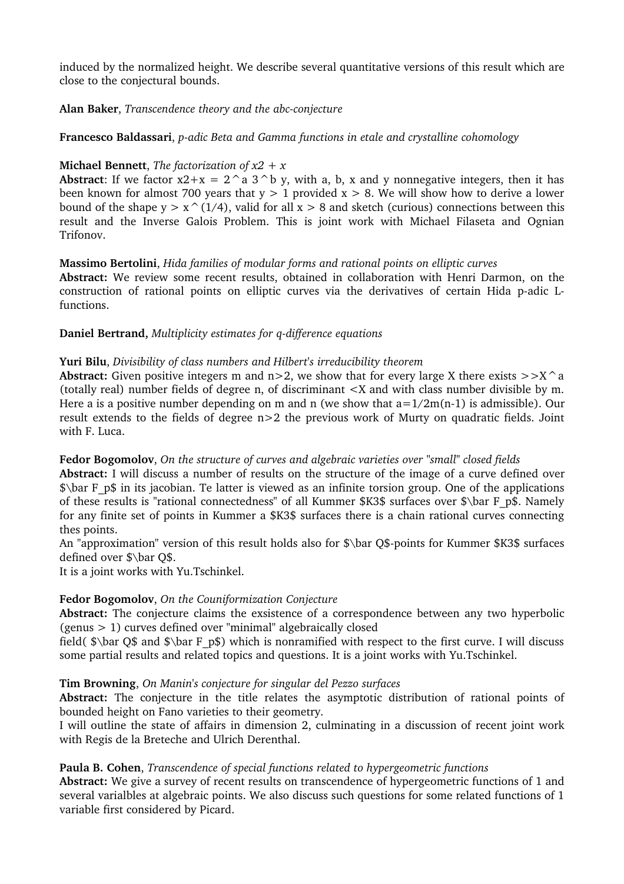induced by the normalized height. We describe several quantitative versions of this result which are close to the conjectural bounds.

## Alan Baker, *Transcendence theory and the abc-conjecture*

## **Francesco Baldassari**, *p*-adic Beta and Gamma functions in etale and crystalline cohomology

## **Michael Bennett**, *The factorization of x2 + x*

**Abstract:** If we factor  $x^2 + x = 2^a a 3^b y$ , with a, b, x and y nonnegative integers, then it has been known for almost 700 years that  $y > 1$  provided  $x > 8$ . We will show how to derive a lower bound of the shape  $y > x^(1/4)$ , valid for all  $x > 8$  and sketch (curious) connections between this result and the Inverse Galois Problem. This is joint work with Michael Filaseta and Ognian Trifonov.

## **Massimo Bertolini**, *Hida families of modular forms and rational points on elliptic curves*

**Abstract:** We review some recent results, obtained in collaboration with Henri Darmon, on the construction of rational points on elliptic curves via the derivatives of certain Hida p-adic Lfunctions.

## **Daniel Bertrand,** *Multiplicity estimates for q-difference equations*

## **Yuri Bilu**, *Divisibility of class numbers and Hilbert's irreducibility theorem*

**Abstract:** Given positive integers m and  $n>2$ , we show that for every large X there exists  $>>X^{\wedge}a$ (totally real) number fields of degree n, of discriminant <X and with class number divisible by m. Here a is a positive number depending on m and n (we show that  $a=1/2m(n-1)$  is admissible). Our result extends to the fields of degree n>2 the previous work of Murty on quadratic fields. Joint with F. Luca.

## **Fedor Bogomolov**, *On the structure of curves and algebraic varieties over "small" closed fields*

**Abstract:** I will discuss a number of results on the structure of the image of a curve defined over  $\theta$  as F\_p\$ in its jacobian. Te latter is viewed as an infinite torsion group. One of the applications of these results is "rational connectedness" of all Kummer \$K3\$ surfaces over \$\bar F\_p\$. Namely for any finite set of points in Kummer a \$K3\$ surfaces there is a chain rational curves connecting thes points.

An "approximation" version of this result holds also for  $\lambda$ bar Q\$-points for Kummer \$K3\$ surfaces defined over \$\bar Q\$.

It is a joint works with Yu.Tschinkel.

## **Fedor Bogomolov**, *On the Couniformization Conjecture*

**Abstract:** The conjecture claims the exsistence of a correspondence between any two hyperbolic (genus > 1) curves defined over "minimal" algebraically closed

field( $\$ \bar Q\$ and  $\$ \bar F\_p\$) which is nonramified with respect to the first curve. I will discuss some partial results and related topics and questions. It is a joint works with Yu.Tschinkel.

## **Tim Browning**, *On Manin's conjecture for singular del Pezzo surfaces*

**Abstract:** The conjecture in the title relates the asymptotic distribution of rational points of bounded height on Fano varieties to their geometry.

I will outline the state of affairs in dimension 2, culminating in a discussion of recent joint work with Regis de la Breteche and Ulrich Derenthal.

## **Paula B. Cohen**, *Transcendence of special functions related to hypergeometric functions*

**Abstract:** We give a survey of recent results on transcendence of hypergeometric functions of 1 and several varialbles at algebraic points. We also discuss such questions for some related functions of 1 variable first considered by Picard.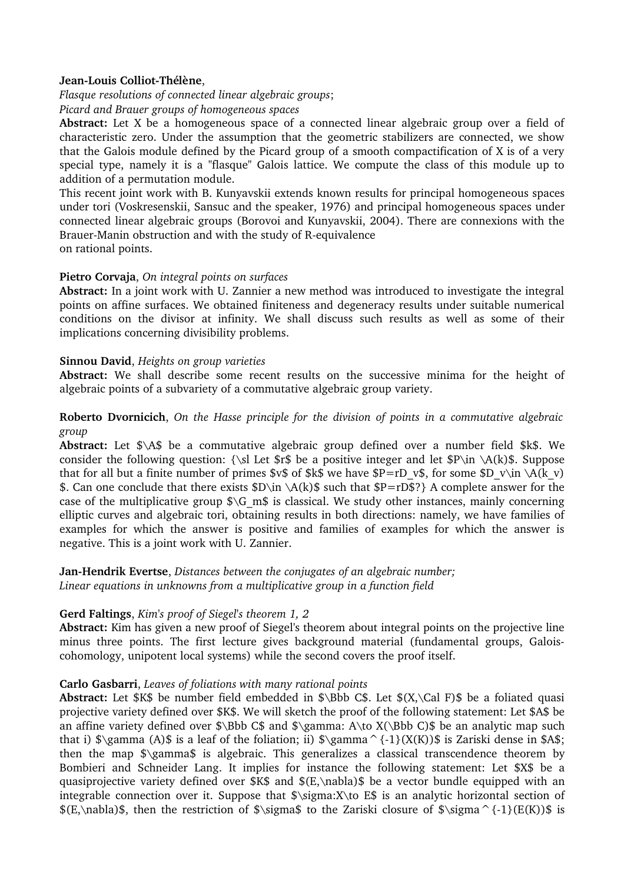## Jean-Louis Colliot-Thélène,

*Flasque resolutions of connected linear algebraic groups*;

*Picard and Brauer groups of homogeneous spaces* 

**Abstract:** Let X be a homogeneous space of a connected linear algebraic group over a field of characteristic zero. Under the assumption that the geometric stabilizers are connected, we show that the Galois module defined by the Picard group of a smooth compactification of X is of a very special type, namely it is a "flasque" Galois lattice. We compute the class of this module up to addition of a permutation module.

This recent joint work with B. Kunyavskii extends known results for principal homogeneous spaces under tori (Voskresenskii, Sansuc and the speaker, 1976) and principal homogeneous spaces under connected linear algebraic groups (Borovoi and Kunyavskii, 2004). There are connexions with the Brauer-Manin obstruction and with the study of R-equivalence

on rational points.

#### **Pietro Corvaja**, *On integral points on surfaces*

**Abstract:** In a joint work with U. Zannier a new method was introduced to investigate the integral points on affine surfaces. We obtained finiteness and degeneracy results under suitable numerical conditions on the divisor at infinity. We shall discuss such results as well as some of their implications concerning divisibility problems.

#### **Sinnou David**, *Heights on group varieties*

**Abstract:** We shall describe some recent results on the successive minima for the height of algebraic points of a subvariety of a commutative algebraic group variety.

## **Roberto Dvornicich**, *On the Hasse principle for the division of points in a commutative algebraic group*

**Abstract:** Let \$\A\$ be a commutative algebraic group defined over a number field \$k\$. We consider the following question: {\sl Let  $\$r\$  be a positive integer and let  $\P\in \A(k)\$ . Suppose that for all but a finite number of primes \$v\$ of \$k\$ we have \$P=rD\_v\$, for some \$D\_v\in \A(k\_v) \$. Can one conclude that there exists  $D\in \A(k)$  such that  $P=rD$$ ? A complete answer for the case of the multiplicative group  $\S\ G$  m\$ is classical. We study other instances, mainly concerning elliptic curves and algebraic tori, obtaining results in both directions: namely, we have families of examples for which the answer is positive and families of examples for which the answer is negative. This is a joint work with U. Zannier.

#### **JanHendrik Evertse**, *Distances between the conjugates of an algebraic number; Linear equations in unknowns from a multiplicative group in a function field*

#### **Gerd Faltings**, *Kim's proof of Siegel's theorem 1, 2*

**Abstract:** Kim has given a new proof of Siegel's theorem about integral points on the projective line minus three points. The first lecture gives background material (fundamental groups, Galoiscohomology, unipotent local systems) while the second covers the proof itself.

## **Carlo Gasbarri**, *Leaves of foliations with many rational points*

**Abstract:** Let \$K\$ be number field embedded in \$\Bbb C\$. Let \$(X,\Cal F)\$ be a foliated quasi projective variety defined over \$K\$. We will sketch the proof of the following statement: Let \$A\$ be an affine variety defined over  $\Bbb S\$  and  $\gamma: A\to X(\Bbb C)\$  be an analytic map such that i)  $\gamma(A)$  is a leaf of the foliation; ii)  $\gamma^{1}(X(K))$  is Zariski dense in \$A\$; then the map \$\gamma\$ is algebraic. This generalizes a classical transcendence theorem by Bombieri and Schneider Lang. It implies for instance the following statement: Let \$X\$ be a quasiprojective variety defined over  $K\$  and  $E,\nabla S$  be a vector bundle equipped with an integrable connection over it. Suppose that \$\sigma:X\to E\$ is an analytic horizontal section of  $E,\nabla$ \$, then the restriction of  $\sigma$ \$ igma\$ to the Zariski closure of  $\sigma^{1}(E(K))$ \$ is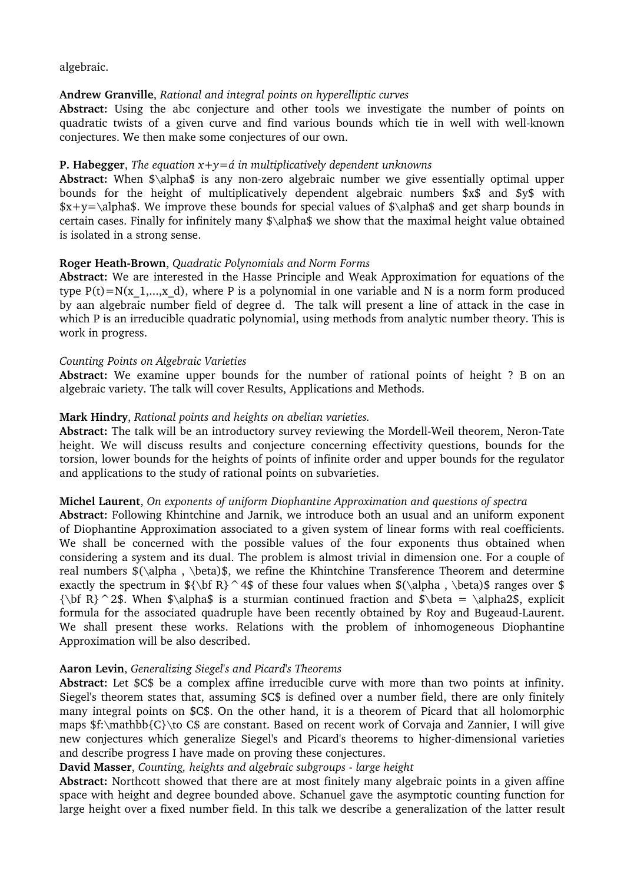## algebraic.

## **Andrew Granville**, *Rational and integral points on hyperelliptic curves*

**Abstract:** Using the abc conjecture and other tools we investigate the number of points on quadratic twists of a given curve and find various bounds which tie in well with well-known conjectures. We then make some conjectures of our own.

## **P. Habegger**, *The equation*  $x+y=4$  *in multiplicatively dependent unknowns*

**Abstract:** When \$\alpha\$ is any nonzero algebraic number we give essentially optimal upper bounds for the height of multiplicatively dependent algebraic numbers \$x\$ and \$y\$ with  $x+y=\alpha$ . We improve these bounds for special values of  $\alpha$  alphas and get sharp bounds in certain cases. Finally for infinitely many  $\alpha \$  we show that the maximal height value obtained is isolated in a strong sense.

## **Roger Heath-Brown**, *Quadratic Polynomials and Norm Forms*

**Abstract:** We are interested in the Hasse Principle and Weak Approximation for equations of the type  $P(t)=N(x_1,...,x_d)$ , where P is a polynomial in one variable and N is a norm form produced by aan algebraic number field of degree d. The talk will present a line of attack in the case in which P is an irreducible quadratic polynomial, using methods from analytic number theory. This is work in progress.

## *Counting Points on Algebraic Varieties*

**Abstract:** We examine upper bounds for the number of rational points of height ? B on an algebraic variety. The talk will cover Results, Applications and Methods.

## **Mark Hindry**, *Rational points and heights on abelian varieties.*

Abstract: The talk will be an introductory survey reviewing the Mordell-Weil theorem, Neron-Tate height. We will discuss results and conjecture concerning effectivity questions, bounds for the torsion, lower bounds for the heights of points of infinite order and upper bounds for the regulator and applications to the study of rational points on subvarieties.

## **Michel Laurent**, *On exponents of uniform Diophantine Approximation and questions of spectra*

**Abstract:** Following Khintchine and Jarnik, we introduce both an usual and an uniform exponent of Diophantine Approximation associated to a given system of linear forms with real coefficients. We shall be concerned with the possible values of the four exponents thus obtained when considering a system and its dual. The problem is almost trivial in dimension one. For a couple of real numbers \$(\alpha , \beta)\$, we refine the Khintchine Transference Theorem and determine exactly the spectrum in  ${\bf R}^4\$  of these four values when  $(\alpha, \beta)$  ranges over \$  ${\bf R}^2\$ . When  $\alpha\$  is a sturmian continued fraction and  $\beta = \alpha^2\$ , explicit formula for the associated quadruple have been recently obtained by Roy and Bugeaud-Laurent. We shall present these works. Relations with the problem of inhomogeneous Diophantine Approximation will be also described.

## **Aaron Levin**, *Generalizing Siegel's and Picard's Theorems*

**Abstract:** Let \$C\$ be a complex affine irreducible curve with more than two points at infinity. Siegel's theorem states that, assuming \$C\$ is defined over a number field, there are only finitely many integral points on \$C\$. On the other hand, it is a theorem of Picard that all holomorphic maps \$f:\mathbb{C}\to C\$ are constant. Based on recent work of Corvaja and Zannier, I will give new conjectures which generalize Siegel's and Picard's theorems to higher-dimensional varieties and describe progress I have made on proving these conjectures.

## **David Masser**, *Counting, heights and algebraic subgroups large height*

**Abstract:** Northcott showed that there are at most finitely many algebraic points in a given affine space with height and degree bounded above. Schanuel gave the asymptotic counting function for large height over a fixed number field. In this talk we describe a generalization of the latter result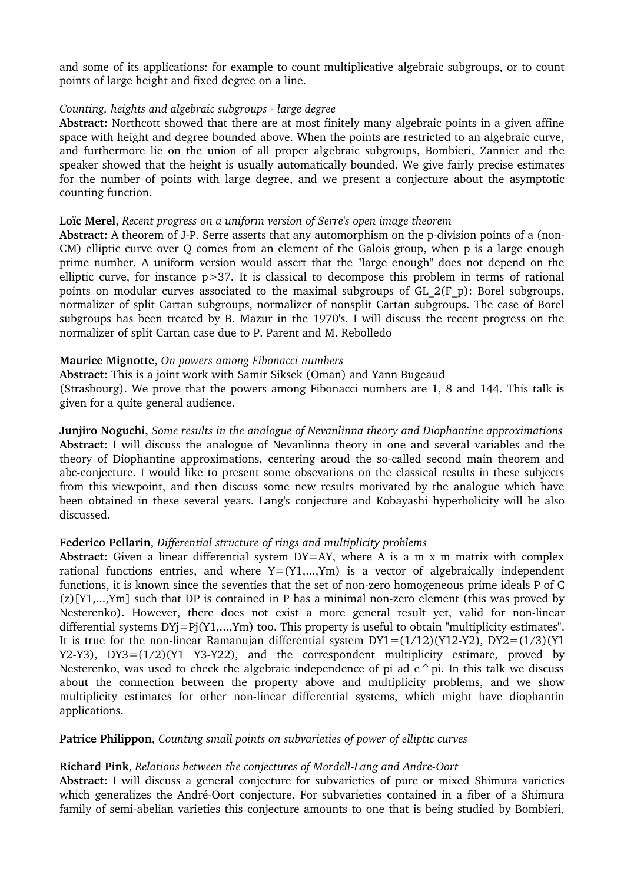and some of its applications: for example to count multiplicative algebraic subgroups, or to count points of large height and fixed degree on a line.

#### *Counting, heights and algebraic subgroups large degree*

**Abstract:** Northcott showed that there are at most finitely many algebraic points in a given affine space with height and degree bounded above. When the points are restricted to an algebraic curve, and furthermore lie on the union of all proper algebraic subgroups, Bombieri, Zannier and the speaker showed that the height is usually automatically bounded. We give fairly precise estimates for the number of points with large degree, and we present a conjecture about the asymptotic counting function.

#### **Loïc Merel**, *Recent progress on a uniform version of Serre's open image theorem*

Abstract: A theorem of J-P. Serre asserts that any automorphism on the p-division points of a (non-CM) elliptic curve over Q comes from an element of the Galois group, when p is a large enough prime number. A uniform version would assert that the "large enough" does not depend on the elliptic curve, for instance p>37. It is classical to decompose this problem in terms of rational points on modular curves associated to the maximal subgroups of GL\_2(F\_p): Borel subgroups, normalizer of split Cartan subgroups, normalizer of nonsplit Cartan subgroups. The case of Borel subgroups has been treated by B. Mazur in the 1970's. I will discuss the recent progress on the normalizer of split Cartan case due to P. Parent and M. Rebolledo

#### **Maurice Mignotte**, *On powers among Fibonacci numbers*

**Abstract:** This is a joint work with Samir Siksek (Oman) and Yann Bugeaud (Strasbourg). We prove that the powers among Fibonacci numbers are 1, 8 and 144. This talk is given for a quite general audience.

**Junjiro Noguchi,** *Some results in the analogue of Nevanlinna theory and Diophantine approximations* **Abstract:** I will discuss the analogue of Nevanlinna theory in one and several variables and the theory of Diophantine approximations, centering aroud the so-called second main theorem and abc-conjecture. I would like to present some obsevations on the classical results in these subjects from this viewpoint, and then discuss some new results motivated by the analogue which have been obtained in these several years. Lang's conjecture and Kobayashi hyperbolicity will be also discussed.

## **Federico Pellarin**, *Differential structure of rings and multiplicity problems*

**Abstract:** Given a linear differential system DY=AY, where A is a m x m matrix with complex rational functions entries, and where  $Y = (Y1,...,Ym)$  is a vector of algebraically independent functions, it is known since the seventies that the set of non-zero homogeneous prime ideals P of C  $(z)[Y1,...,Ym]$  such that DP is contained in P has a minimal non-zero element (this was proved by Nesterenko). However, there does not exist a more general result yet, valid for non-linear differential systems DYj=Pj(Y1,...,Ym) too. This property is useful to obtain "multiplicity estimates". It is true for the non-linear Ramanujan differential system  $DY1=(1/12)(Y12-Y2)$ ,  $DY2=(1/3)(Y1$ Y2-Y3),  $DY3=(1/2)(Y1 Y3-Y22)$ , and the correspondent multiplicity estimate, proved by Nesterenko, was used to check the algebraic independence of pi ad  $e^p$  pi. In this talk we discuss about the connection between the property above and multiplicity problems, and we show multiplicity estimates for other non-linear differential systems, which might have diophantin applications.

## **Patrice Philippon**, *Counting small points on subvarieties of power of elliptic curves*

## **Richard Pink**, *Relations between the conjectures of MordellLang and AndreOort*

**Abstract:** I will discuss a general conjecture for subvarieties of pure or mixed Shimura varieties which generalizes the André-Oort conjecture. For subvarieties contained in a fiber of a Shimura family of semi-abelian varieties this conjecture amounts to one that is being studied by Bombieri,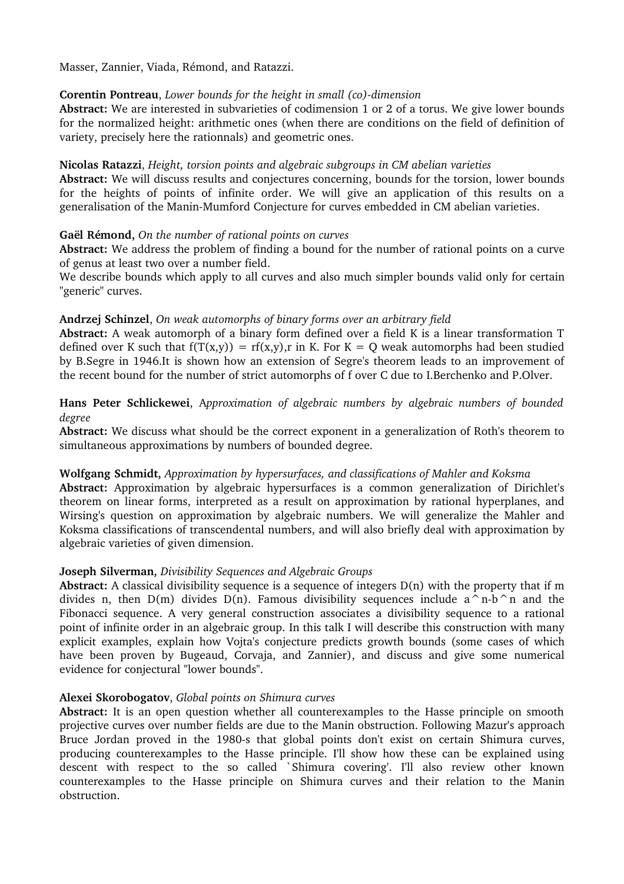Masser, Zannier, Viada, Rémond, and Ratazzi.

## **Corentin Pontreau**, *Lower* bounds for the height in small (co)-dimension

**Abstract:** We are interested in subvarieties of codimension 1 or 2 of a torus. We give lower bounds for the normalized height: arithmetic ones (when there are conditions on the field of definition of variety, precisely here the rationnals) and geometric ones.

#### **Nicolas Ratazzi**, *Height, torsion points and algebraic subgroups in CM abelian varieties*

**Abstract:** We will discuss results and conjectures concerning, bounds for the torsion, lower bounds for the heights of points of infinite order. We will give an application of this results on a generalisation of the Manin-Mumford Conjecture for curves embedded in CM abelian varieties.

#### **Gaël Rémond,** *On the number of rational points on curves*

**Abstract:** We address the problem of finding a bound for the number of rational points on a curve of genus at least two over a number field.

We describe bounds which apply to all curves and also much simpler bounds valid only for certain "generic" curves.

#### **Andrzej Schinzel**, *On weak automorphs of binary forms over an arbitrary field*

**Abstract:** A weak automorph of a binary form defined over a field K is a linear transformation T defined over K such that  $f(T(x,y)) = rf(x,y)$ , r in K. For K = O weak automorphs had been studied by B.Segre in 1946.It is shown how an extension of Segre's theorem leads to an improvement of the recent bound for the number of strict automorphs of f over C due to I.Berchenko and P.Olver.

**Hans Peter Schlickewei**, A*pproximation of algebraic numbers by algebraic numbers of bounded degree* 

**Abstract:** We discuss what should be the correct exponent in a generalization of Roth's theorem to simultaneous approximations by numbers of bounded degree.

#### **Wolfgang Schmidt,** *Approximation by hypersurfaces, and classifications of Mahler and Koksma*

**Abstract:** Approximation by algebraic hypersurfaces is a common generalization of Dirichlet's theorem on linear forms, interpreted as a result on approximation by rational hyperplanes, and Wirsing's question on approximation by algebraic numbers. We will generalize the Mahler and Koksma classifications of transcendental numbers, and will also briefly deal with approximation by algebraic varieties of given dimension.

## **Joseph Silverman,** *Divisibility Sequences and Algebraic Groups*

**Abstract:** A classical divisibility sequence is a sequence of integers D(n) with the property that if m divides n, then  $D(m)$  divides  $D(n)$ . Famous divisibility sequences include a<sup> $\land$ </sup>n-b $\land$ n and the Fibonacci sequence. A very general construction associates a divisibility sequence to a rational point of infinite order in an algebraic group. In this talk I will describe this construction with many explicit examples, explain how Vojta's conjecture predicts growth bounds (some cases of which have been proven by Bugeaud, Corvaja, and Zannier), and discuss and give some numerical evidence for conjectural "lower bounds".

#### **Alexei Skorobogatov**, *Global points on Shimura curves*

**Abstract:** It is an open question whether all counterexamples to the Hasse principle on smooth projective curves over number fields are due to the Manin obstruction. Following Mazur's approach Bruce Jordan proved in the 1980-s that global points don't exist on certain Shimura curves, producing counterexamples to the Hasse principle. I'll show how these can be explained using descent with respect to the so called `Shimura covering'. I'll also review other known counterexamples to the Hasse principle on Shimura curves and their relation to the Manin obstruction.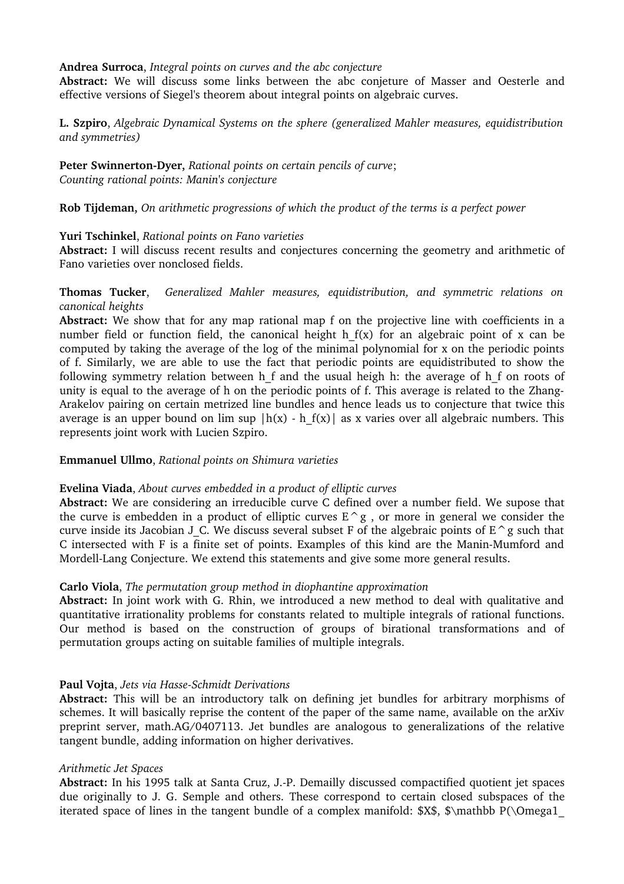#### **Andrea Surroca**, *Integral points on curves and the abc conjecture*

**Abstract:** We will discuss some links between the abc conjeture of Masser and Oesterle and effective versions of Siegel's theorem about integral points on algebraic curves.

**L. Szpiro**, *Algebraic Dynamical Systems on the sphere (generalized Mahler measures, equidistribution and symmetries)*

**Peter Swinnerton-Dyer,** Rational points on certain pencils of curve; *Counting rational points: Manin's conjecture*

**Rob Tijdeman,** *On arithmetic progressions of which the product of the terms is a perfect power*

#### **Yuri Tschinkel**, *Rational points on Fano varieties*

**Abstract:** I will discuss recent results and conjectures concerning the geometry and arithmetic of Fano varieties over nonclosed fields.

#### **Thomas Tucker**, *Generalized Mahler measures, equidistribution, and symmetric relations on canonical heights*

**Abstract:** We show that for any map rational map f on the projective line with coefficients in a number field or function field, the canonical height h  $f(x)$  for an algebraic point of x can be computed by taking the average of the log of the minimal polynomial for x on the periodic points of f. Similarly, we are able to use the fact that periodic points are equidistributed to show the following symmetry relation between h f and the usual heigh h: the average of h f on roots of unity is equal to the average of h on the periodic points of f. This average is related to the Zhang-Arakelov pairing on certain metrized line bundles and hence leads us to conjecture that twice this average is an upper bound on lim sup  $|h(x) - h f(x)|$  as x varies over all algebraic numbers. This represents joint work with Lucien Szpiro.

#### **Emmanuel Ullmo**, *Rational points on Shimura varieties*

#### **Evelina Viada**, *About curves embedded in a product of elliptic curves*

**Abstract:** We are considering an irreducible curve C defined over a number field. We supose that the curve is embedden in a product of elliptic curves  $E^{\wedge}g$ , or more in general we consider the curve inside its Jacobian J C. We discuss several subset F of the algebraic points of  $E^{\wedge}g$  such that C intersected with F is a finite set of points. Examples of this kind are the Manin-Mumford and Mordell-Lang Conjecture. We extend this statements and give some more general results.

## **Carlo Viola**, *The permutation group method in diophantine approximation*

**Abstract:** In joint work with G. Rhin, we introduced a new method to deal with qualitative and quantitative irrationality problems for constants related to multiple integrals of rational functions. Our method is based on the construction of groups of birational transformations and of permutation groups acting on suitable families of multiple integrals.

## **Paul Vojta**, *Jets via Hasse-Schmidt Derivations*

**Abstract:** This will be an introductory talk on defining jet bundles for arbitrary morphisms of schemes. It will basically reprise the content of the paper of the same name, available on the arXiv preprint server, math.AG/0407113. Jet bundles are analogous to generalizations of the relative tangent bundle, adding information on higher derivatives.

#### *Arithmetic Jet Spaces*

**Abstract:** In his 1995 talk at Santa Cruz, J.P. Demailly discussed compactified quotient jet spaces due originally to J. G. Semple and others. These correspond to certain closed subspaces of the iterated space of lines in the tangent bundle of a complex manifold:  $\frac{3}{5}$ ,  $\mathcal{S}\mathcal{D}\Omega$